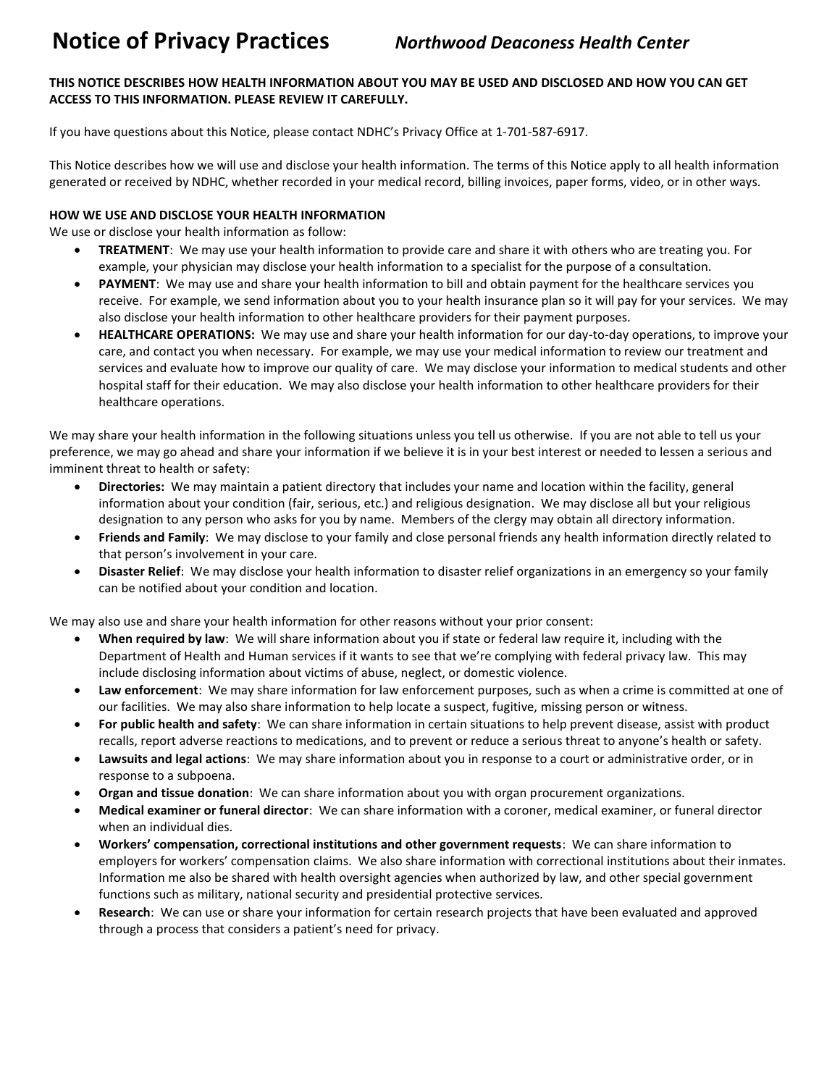# **Notice of Privacy Practices** *Northwood Deaconess Health Center*

## **THIS NOTICE DESCRIBES HOW HEALTH INFORMATION ABOUT YOU MAY BE USED AND DISCLOSED AND HOW YOU CAN GET ACCESS TO THIS INFORMATION. PLEASE REVIEW IT CAREFULLY.**

If you have questions about this Notice, please contact NDHC's Privacy Office at 1-701-587-6917.

This Notice describes how we will use and disclose your health information. The terms of this Notice apply to all health information generated or received by NDHC, whether recorded in your medical record, billing invoices, paper forms, video, or in other ways.

## **HOW WE USE AND DISCLOSE YOUR HEALTH INFORMATION**

We use or disclose your health information as follow:

- **TREATMENT**: We may use your health information to provide care and share it with others who are treating you. For example, your physician may disclose your health information to a specialist for the purpose of a consultation.
- **PAYMENT**: We may use and share your health information to bill and obtain payment for the healthcare services you receive. For example, we send information about you to your health insurance plan so it will pay for your services. We may also disclose your health information to other healthcare providers for their payment purposes.
- **HEALTHCARE OPERATIONS:** We may use and share your health information for our day-to-day operations, to improve your care, and contact you when necessary. For example, we may use your medical information to review our treatment and services and evaluate how to improve our quality of care. We may disclose your information to medical students and other hospital staff for their education. We may also disclose your health information to other healthcare providers for their healthcare operations.

We may share your health information in the following situations unless you tell us otherwise. If you are not able to tell us your preference, we may go ahead and share your information if we believe it is in your best interest or needed to lessen a serious and imminent threat to health or safety:

- **Directories:** We may maintain a patient directory that includes your name and location within the facility, general information about your condition (fair, serious, etc.) and religious designation. We may disclose all but your religious designation to any person who asks for you by name. Members of the clergy may obtain all directory information.
- **Friends and Family**: We may disclose to your family and close personal friends any health information directly related to that person's involvement in your care.
- **Disaster Relief**: We may disclose your health information to disaster relief organizations in an emergency so your family can be notified about your condition and location.

We may also use and share your health information for other reasons without your prior consent:

- **When required by law**: We will share information about you if state or federal law require it, including with the Department of Health and Human services if it wants to see that we're complying with federal privacy law. This may include disclosing information about victims of abuse, neglect, or domestic violence.
- **Law enforcement**: We may share information for law enforcement purposes, such as when a crime is committed at one of our facilities. We may also share information to help locate a suspect, fugitive, missing person or witness.
- **For public health and safety**: We can share information in certain situations to help prevent disease, assist with product recalls, report adverse reactions to medications, and to prevent or reduce a serious threat to anyone's health or safety.
- **Lawsuits and legal actions**: We may share information about you in response to a court or administrative order, or in response to a subpoena.
- **Organ and tissue donation**: We can share information about you with organ procurement organizations.
- **Medical examiner or funeral director**: We can share information with a coroner, medical examiner, or funeral director when an individual dies.
- **Workers' compensation, correctional institutions and other government requests**: We can share information to employers for workers' compensation claims. We also share information with correctional institutions about their inmates. Information me also be shared with health oversight agencies when authorized by law, and other special government functions such as military, national security and presidential protective services.
- **Research**: We can use or share your information for certain research projects that have been evaluated and approved through a process that considers a patient's need for privacy.